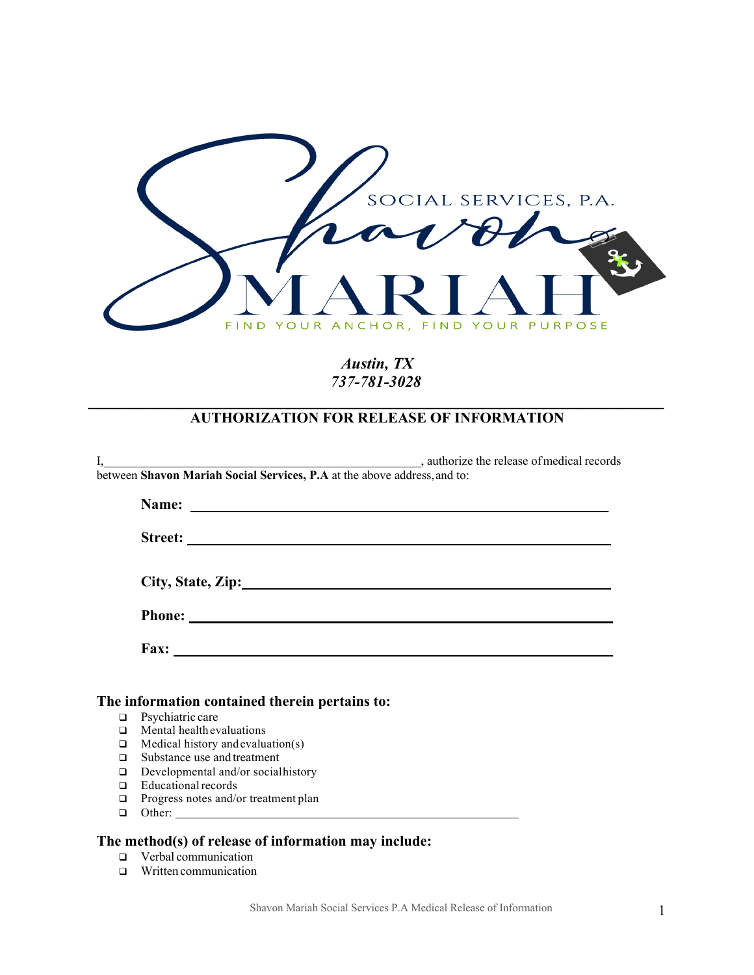

# *Austin, TX 737-781-3028*

### *\_\_\_\_\_\_\_\_\_\_\_\_\_\_\_\_\_\_\_\_\_\_\_\_\_\_\_\_\_\_\_\_\_\_\_\_\_\_\_\_\_\_\_\_\_\_\_\_\_\_\_\_\_\_\_\_\_\_\_\_\_\_\_\_\_\_\_\_\_\_\_\_* **AUTHORIZATION FOR RELEASE OF INFORMATION**

| I, authorize the release of medical records<br>between Shavon Mariah Social Services, P.A at the above address, and to: |
|-------------------------------------------------------------------------------------------------------------------------|
|                                                                                                                         |
|                                                                                                                         |
|                                                                                                                         |
| City, State, Zip: 1988. Express City, State, Zip:                                                                       |
|                                                                                                                         |
|                                                                                                                         |
|                                                                                                                         |

## **The information contained therein pertains to:**

- **q** Psychiatric care
- $\Box$  Mental health evaluations
- $\Box$  Medical history and evaluation(s)
- □ Substance use and treatment
- $\Box$  Developmental and/or social history
- $\Box$  Educational records<br> $\Box$  Progress notes and/o
- Progress notes and/or treatment plan
- **Q** Other:

#### **The method(s) of release of information may include:**

- **q** Verbal communication
- $\Box$  Written communication